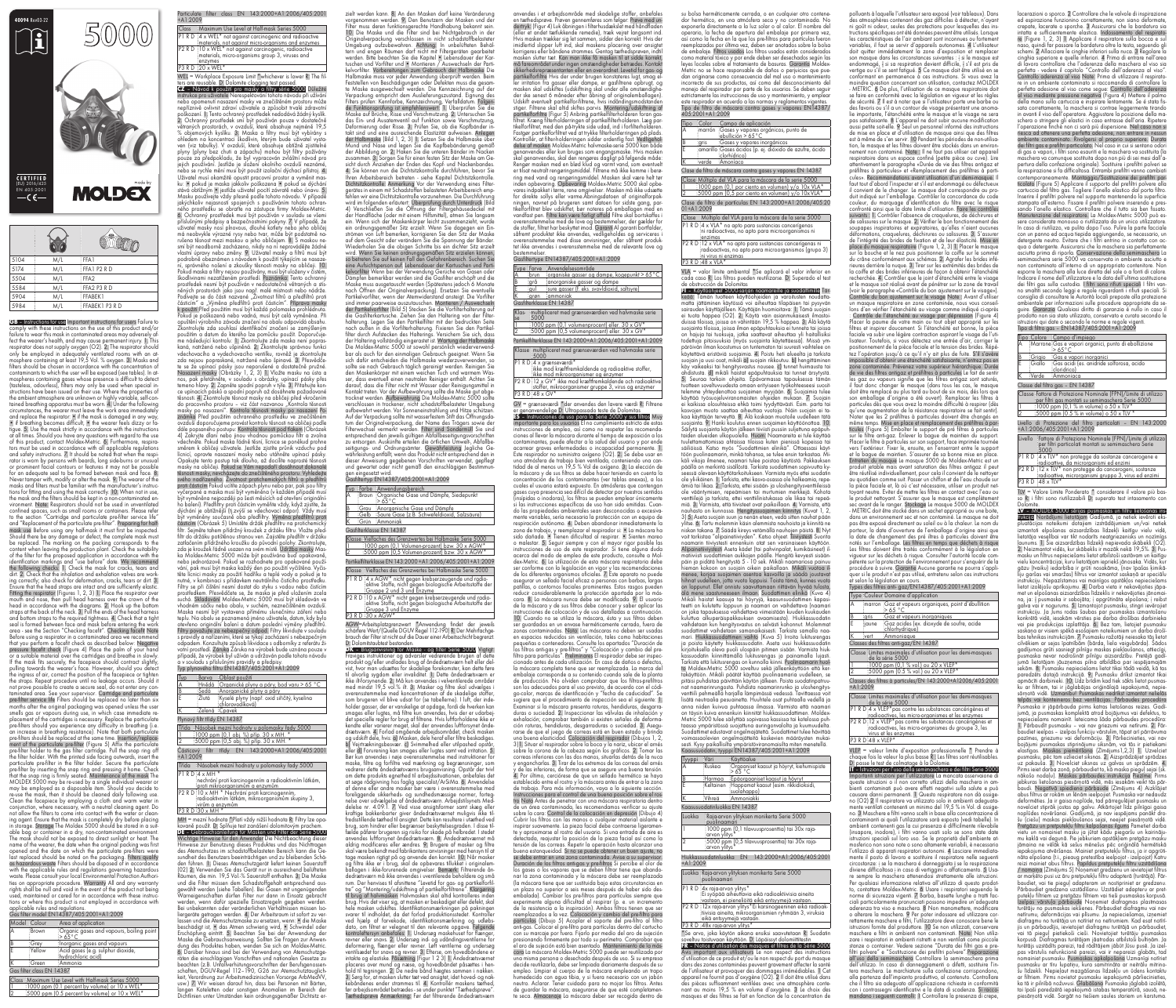GB – Instructions for use Important instructions for users Failure to comply with these instructions on the use of this product and/or failure to wear this mask in contaminated areas may adversely a fect the wearer's health, and may cause permanent injury. 1. This respirator does not supply oxygen (O2). 2. The respirator should only be employed in adequately ventilated rooms with an at mosphere containing at least 19,5 Vol. % oxygen. 3. Masks and filters should be chosen in accordance with the concentration of contaminants to which the user will be exposed (see tables). In at mospheres containing gases whose presence is difficult to detect (tasteless, odourless), filters may only be used when special in structions have been issued on their use. Where the properties of the ambient atmosphere are unknown or highly variable, self-contained breathing apparatus must be worn. A. Under the following circumstances, the wearer must leave the work area immediately and replace the respirator: • if the mask is damaged in any way, • if breathing becomes difficult, • the wearer feels dizzy or fa-<br>tique. 5. Use the mask strictly in accordance with the instructions at all times. Should you have any questions with regard to the use of this product, contact Moldex-Metric. 6. Furthermore, respira tors must be used in accordance with all applicable regulations and safety instructions. 7. It should be noted that when the resp rator is worn by persons with beards, long side-burns or unusual or prominent facial contours or features it may not be possible for an adequate seal to be formed between mask and face. 8. Never tamper with, modify or alter the mask. 9. The wearer of the masks and filters must be familiar with the manufacturer's instruc tions for fitting and using the mask correctly. 10. When not in use, the mask and the filters should be kept in a non-contaminated en vironment. Note: Respirators should not be used in unventilated confined spaces, such as small rooms or containers. Please refer to the section "Cartridge and particulate pre-filter service life and "Replacement of the particulate pre-filter". Preparing for half mask use Before using any half-mask it must first be inspected. Should there be any damage or defect, the complete mask must be replaced. The marking on the packing corresponds to the content when leaving the production plant. Check the suitability of the filter for the proposed application in accordance with the identification markings and "use before" date. We recommend the following checks: 1. Check the mask for cracks, tears and dirt. 2. Check that the inhalation and exhalation valves are work ing correctly; also check for deformation, cracks, tears or dirt. 3. Ensure that the head straps are intact and are sufficiently elastic.<br>Fitting the respirator (Figures 1, 2, 3) 1. Place the respirator over nouth and nose, then pull head harness over the crown of the head in accordance with the diagrams. 2. Hook up the bottom straps at the back of the neck. 3. Pull the ends of the head harness and bottom straps to the required tightness. 4. Check that a tight seal is formed between face and mask before entering the work area - see the Section "Checking facefit". Checking facefit Note Before using a respirator in a contaminated area we recommend<br>that you perform a facefit check as described below: Negative pressure facefit check (Figure 4) Place the palm of your hand<br>or a suitable material over the cartridges and breathe in slowly. If the mask fits securely, the facepiece should contract slightly, pulling towards the wearer's face. However, should you detect the ingress of air, correct the position of the facepiece or tighten the straps. Repeat procedure until no leakage occurs. Should it not prove possible to create a secure seal, do not enter any con pre-filter service life Filters should be replaced no later than six<br>months after the original packaging was opened unless the user smells gas or vapours during use, in which case immediate replacement of the cartridges is necessary. Replace the particulate pre-filters should you experience any difficulty in breathing (i.e. an increase in breathing resistance). Note that both particulate pre-filters should be replaced at the same time. Insertion/replace-<br>ment of the particulate pre-filter (Figure 5) Affix the particulate pre-filter holder to the gas filter cartridge. Pull the snap ring off the filter holder. With the printed side facing outwards, insert the particulate pre-filter in the filter holder. Secure the particulate pre-filter by inserting the snap ring and pressing it home. Check that the snap ring is firmly seated. Maintenance of the mask The MOLDEX 5000 may be re-used by a single individual wearer or may be employed as a disposable item. Should you decide to re-use the mask, then it should be cleaned daily following use. Clean the facepiece by employing a cloth and warm water in conjunction, where necessary, with a neutral cleaning agent. Do not allow the filters to come into contact with the water or clean ing agent. Ensure that the mask is completely dry before placing in storage. Storage The Moldex 5000 should be stored in a suit able bag or container in a dry, non-contaminated environment. The mask should not be exposed to direct sunlight or heat. The name of the wearer, the date when the original packing was first opened and the date on which the particulate pre-filters were<br>last replaced should be noted on the packaging. Filters qualify as hazardous waste Filters should be disposed of in accordance with the applicable rules and regulations governing hazardous waste. Please consult your local Environmental Protection Authori ties on appropriate procedure. Warranty All and any warranty rights shall be null and void in the event of the product not being used, maintained or cared for in accordance with these instructions or where this product is not employed in accordance with applicable rules and regulations.

Class Maximum Use Level with Half-mask Series 5000 1 1000 ppm (0.1 percent by volume) or 10 x WEL\* 15000 ppm (0.5 percent by volume) or 10 x WEL\*

Gas filter model EN14387/405:2001+A1:2009

| Model Colour |        | Area of application                                         |
|--------------|--------|-------------------------------------------------------------|
|              | :Brown | Organic gases and vapours, boiling point<br>$>65^{\circ}$ C |
|              | ∶Grev  | Inorganic gases and vapours                                 |
|              | Yellow | Acid gases (e.g. sulphur dioxide,<br>hydrochloric acid)     |
|              | ∶Green | :Ammonia                                                    |

Gas filter class EN 14387

nebo opomenutí nasazení masky ve znečištěném prostoru může nepříznivě ovlivnit zdraví uživatele a způsobit trvalé zdravotní poškození. 1. Tento ochranný prostředek nedodává žádný kyslík. 2. Ochranný prostředek smí být používán pouze v dostatečně větraných prostorách, v ovzduší, které obsahuje nejméně 19,5<br>% objemových kyslíku. 3. Maska a filtry musí být vybírány s ohledem na koncentraci škodlivin, kterým bude uživatel vysta ven (viz tabulky). V ovzduší, které obsahuje obtížně zjistitelné plyny (plyny bez chuti a zápachu) mohou být filtry požívány pouze za předpokladu, že byl vypracován zvláštní návod pro jejich používání. Jestliže je složení okolního ovzduší neznámé, nebo se rychle mění musí být použit izolační dýchací přístroj. 4. Uživatel musí okamžitě opustit pracovní prostor a vyměnit mas ku: • pokud je maska jakkoliv poškozena • pokud se dýchání stává obtížným • jestliže uživatel pocítí závratě nebo únavu. 5. Masku používejte vždy přesně podle tohoto návodu. V případě jakýchkoliv nejasností spojených s používáním tohoto ochranného prostředku se obraťte na zástupce firmy Moldex-Metric. 6. Ochranný prostředek musí být používán v souladu se všemi<br>příslušnými předpisy a bezpečnostními pokyny. 7. V případě, že uživatel masky nosí plnovous, dlouhé kotlety nebo jeho obličej má neobvykle výrazné rysy nebo tvar, může být podstatně na rušena těsnost mezi maskou a jeho obličejem. 8. S maskou ne smí být neodborně zacházeno, nikdy na ní neprovádějte žádné<br>vlastní úpravy nebo změny. 9. Uživatel masky a filtrů musí být podrobně obeznámen s návodem k použití týkajícím se nasazení, správného nošení a zkoušky těsnosti masky na obličeji. 10. Pokud maska a filtry nejsou používány, musí býť uloženy v čistém<br>škodlivinami nezatíženém, prostředí. Poznámka: Tento ochranny prostředek nesmí být používán v nedostatečně větraných a stísněných prostorách jako jsou např. malé místnosti nebo nádrže. Podívejte se do části nazvané "Životnost filtrů a předfiltrů prot<br>částicím" a "Výměna předfiltrů proti částicím". Příprava masky k použití Před použitím musí být každá polomaska prohlédnuta.<br>Pokud je poškozená nebo vadná, musí být celá vyměněna. Při opuštění výrobního závodu značení na obalu odpovídá obsahu. Zkontrolujte zda souhlasí identifikační značení se zamýšleným použitím a datum do kterého lze pomůcku použít. Doporučuje me následující kontrolu: 1. Zkontrolujte zda maska není popras kaná, natržená nebo ušpiněná. 2. Zkontrolujte správnou funkci vdechovacího a vydechovacího ventilku, rovněž je zkontrolujte zda nejsou popraskané, natržené nebo špinavé. 3. Přesvědče te se že upínací pásky jsou neporušené a dostatečně pružné. Nasazení masky (Obrázky 1, 2, 3) 1. Vložte masku na ústa a nos, pak přetáhněte, v souladu s obrázky, upínací pásky přes temeno hlavy. 2. Zapněte spodní popruh v týle. 3. Přitahujte kon ce upínacích pásků a spodní popruh až dosáhnete požadované<br>těsnosti. 4. Zkontrolujte těsnost masky na obličeji před vkročením do pracovního prostoru - viz část nazvanou "Kontrola těsnosti masky po nasazení". Kontrola těsnosti masky po nasazení Po ovzduší doporučujeme provést kontrolu těsnosti na obličeji podle dále popsaného postupu: Kontrola těsnosti pod tlakem (Obrázek 4) Zakryjte dlaní nebo jinou vhodnou pomůckou filtr a zvolna vdechněte. Pokud maska řádně těsní, lícnice se poněkud prohne směrem k obličeji uživatele. Jestliže zjistíte průnik vzduchu po lícnicí, opravte nasazení masky nebo utáhněte upínací pásky. Opakujte tento postup tak dlouho, až docílíte naprosté těsnosti iěsnosti masky, nevcházejte do znečištěného prostoru. Vyhledejt svého nadřízeného. Životnost protichemických filtrů a předfiltrů<br>proti částicím Pokud ucítíte zápach plynu nebo par, pak jsou filtry yčerpané a maska musí být vyměněna (v každém případě mus být vyměněna nejpozději po šesti měsících od otevření originální ho balení). Předfiltry proti částicím vyměňte vždy, když zjistíte, že dýchání je obtížnější (tj.zvýší se vdechovací odpor). Vždy musí ýt vyměněny současně oba předfiltry. Výměna předfiltrů proti<br>ásticím (Obrázek 5) Umístěte držák předfiltru na protichemický filtr. Sejměte tahem přídržný kroužek z držáku filtru. Vložte před filtr do držáku potištěnou stranou ven. Zajistěte předfiltr v držáku zatlačením přídržného kroužku do původní polohy. Zkontrolujte zda je kroužek řádně usazen na svém místě. Údržba masky Mas ka Moldex-Metric 5000 může být používána buď opakovaně, nebo jednorázově. Pokud se rozhodnete pro opakované použí vání, pak musí být maska každý den po použití vyčištěna. Vyčis těte lícnici masky za použití hadříku a teplé vody a pokud je to nutné, v kombinaci s přídavkem neutrálního čistícího prostředku. Filtry se při čištění nesmí dostat do styku s vodou nebo čistícím prostředkem. Přesvědčete se, že maska je před uložením zcela vhodném sáčku nebo obalu, v suchém, neznečištěném ovzduší. Maska nesmí být vystavena přímému slunečnímu záření nebo teplu. Na obalu se poznamená jméno uživatele, datum, kdy bylo otevřeno originální balení a datum poslední výměny předfiltrů. s pravidly a nařízeními, které se týkají zacházení s nebezpečným odpadem. Konzultujte způsob likvidace s odborníky z referátu ži případě, že výrobek byl užíván a udržován podle tohoto návodu a v souladu s příslušnými pravidly a předpisy. Typ plynového filtru EN14387/405:2001+A1:2009

Třída Násobek mezní hodnoty u polomasky řady 5000  $P1$  R D  $4 \times$  MH nechrání proti karcinogenním a radioaktivním látkám,

| +A1:2009     | Particulate filter class EN 143:2000+A1:2006/405:2001                                                                  |  |  |
|--------------|------------------------------------------------------------------------------------------------------------------------|--|--|
|              |                                                                                                                        |  |  |
| <b>Class</b> | Maximum Use Level at Half-mask Series 5000                                                                             |  |  |
|              | P1 R D :4 x WEL* not against carcinogenic and radioactive<br>imaterials, not against micro-organisms and enzymes       |  |  |
|              | P2 R D :10 x WEL* not against carcinogenic, radioactive<br>imaterials, micro-organisms group 3, viruses and<br>enzymes |  |  |

<u>P3 R D :20 x WEL\*</u> WEL = Workplace Exposure Limit \*whichever is lower R: The fil ters are reusable. D: Dolomite clogging test passed. CZ – Návod k použití pro masky a filtry série 5000 Důležité<br>CZ – Návod k použití pro masky a filtry série 5000 Důležité<br>instrukce pro uživatele Nerespektování tohoto návodu při užívání

MH = mezní hodnota \*Platí vždy nižší hodnota R: Filtry lze opa kovaně použít. D: Splňuje test zanášení dolomitovým prachem.<br>**DE** – Gebrauchsanleitung für Masken und Filter der Serie 5000

**DE** – Gebrauchsanleitung für Masken und Filter der Serie 5000<br>Wichtige Hinweise für den Anwender Die Nichtbeachtung dieser<br>Hinweise zur Benutzung dieses Produktes und das Nichttragen des Atemschutzes im schadstoffbelasteten Bereich kann die Ge sundheit des Benutzers beeinträchtigen und zu bleibenden Schä-<br>den führen. 1. Dieses Atemschutzgerät liefert keinen Sauerstoff (02) 2. Verwenden Sie das Gerät nur in ausreichend belüfteten Räumen, die min. 19,5 Vol.-% Sauerstoff enthalten. 3. Die Maske und die Filter müssen dem Schadstoffgehalt entsprechend aus gewählt werden (siehe Tabellen). Bei Gasen mit ungenügenden Warneigenschaften dürfen Filter nur dann in Einsatz gebracht werden, wenn dafür spezielle Einsatzregeln gegeben werden. Bei unbekannten oder veränderlichen Verhältnissen müssen Iso liergeräte getragen werden. 4. Der Arbeitsraum ist sofort zu ver lassen und die Atemschutzmaske zu ersetzen, wenn: • die Maske beschädigt ist, • das Atmen schwierig wird, • Schwindel oder Erschöpfung eintritt. 5. Beachten Sie bei der Anwendung der<br>Maske die Gebrauchsanweisung. Sollten Sie Fragen zur Anwendung des Produktes haben, wenden Sie sich an Moldex-Metric. 6. Darüber hinaus sind bei der Verwendung von Atemschutzge räten die einschlägigen Vorschriften und nationalen Gesetze zu beachten (z.B. Unfallverhütungsvorschriften der Berufsgenossen schaften, DGUV-Regel 112-190, G26 zur Atemschutztauglichkeit, Verordnung zur Arbeitsmedizinischen Vorsorge ArbMedVV, usw.) 7. Wir weisen darauf hin, dass bei Personen mit Bärten langen Koteletten oder sonstigen Anomalien im Bereich der Dichtlinien unter Umständen kein ordnungsgemäßer Dichtsitz er-

Gruppe 2 und 3 und Enzyme P2 R D 10 x AGW\* nicht gegen krebserzeugende und radio- aktive Stoffe, nicht gegen biologische Arbeitsstoffe der :aktive Stoffe, nicht gegen biologische Arbeitsstoffe der<br>:Gruppe 3 und Enzyme **P3 R D 30 x AGW** 

 $K$  – Brugsanvisning for Maske - og filter Serie 5000 Vigtigt: Fraviges instruktioner og advarsler vedrørende brugen af dette produkt og/eller undlades brug af åndedrætsværn helt eller del vist, hvor man udsættes for skadelige forekomster, kan dette føre til alvorlig sygdom eller invaliditet. 1. Dette åndedrætsværn er ikke ilt-forsynende. 2. Må kun anvendes i velventilerede områder med mindst 19,5 vol.% ilt. 3. Masker og filtre skal udvælges i overensstemmelse med koncentrationen af de skadelige stoffer, som brugeren vil blive udsat for (se tabellerne). I luft, der inde holder gasser, der er vanskelige at opdage, fordi de hverken kan smages eller lugtes, må filtre kun anvendes, hvis der er udarbej t specielle regler for brug af filtrene. Hvis luftforholdene ikke er kendte eller varierer meget, skal der anvendes luftforsynet ånde drætsværn. 4. Forlad omgående arbejdsområdet, check masken<br>og udskift dele, hvis: a) Masken, dele heraf eller filtre beskadiges.<br>b) Vejrtrækningsbesvær. c) Svimmelhed eller utilpashed opstår,<br>eller d) Forurening kan smages Bør kun anvendes i nøje overensstemmelse med instruktioner for maske, filtre og forfiltre ved mærkning og begrænsninger, som vedrører dette åndedrætsværns brugsanvisning. Opstår der tvivl om dette produkts egnethed til arbejdssituationen, anbefales det at søge rådgivning hos faglig specialist/ArSiMa. 6. Anvendelse af denne eller andre masker bør være i overensstemmelse med foreliggende sikkerheds- og sundhedsmæssige normer, forteg nelse over udvælgelse af åndedrætsværn. Arbejdstilsynets Med delelse nr. 4.09.1. 7. Ved visse ansigtsformer samt skæg eller<br>kraftige bakkenbarter giver åndedrætsværnet muligvis ikke tilfredsstillende tæthed til ansigtet. Dette kan resultere i utæthed ved brug, som hindrer eller begrænser beskyttelsesgraden. I disse til fælde påfører brugeren sig risiko for skade på helbredet. I stedet anvendes luftforsynet åndedrætsværn. 8. Åndedrætsværnet må aldrig modificeres eller ændres. 9. Brugere af masker og filtre skal være bekendt med fabrikantens anvisninger med hensyn til at tage masken rigtigt på og anvende den korrekt. 10. Når masker og filtre ikke er i brug, skal de opbevares tillukket i originalem llagen i ikke-forurenede omgivelser. Bemærk: Filtrerende åndedrætsværn må ikke anvendes i uventilerede beholdere og små rum. Der henvises til afsnittene "Levetid for gas- og partikelforfil tre" og "Montering/udskiftning af partikelforfiltrene". Klargøring<br>til brug af halvmasken Halvmasken skal altid kontrolleres inden brug. Hvis det viser sig, at masken er beskadiget eller defekt, skal  $\epsilon$  masken udskiftes. Identifikationsmærkningen på pakningen svarer til indholdet, da det forlod produktionsstedet. Kontroller ved hjælp af farvekode, identifikationsmærkning og udløbs kontroleftersyn anbefales: 1. Undersøg maskehuset for flænger,<br>revner eller snavs. 2. Undersøg ind- og udåndingsventilerne for<br>deformering, flænger eller revner. Løft ventilerne og undersøg ventilsædet for snavs og revner. 3. Efterse, om hovedbåndene er intakte og elastiske. Påsætning (Figur 1 2 3) 1. Åndedrætsværnet placeres over mund og næse, og hovedbåndet påsættes i hen hold til tegningen. 2. De nedre bånd hægtes sammen i nakken. 3. Sørg for, at masken slutter tæt ved ansigtet, idet hoved- og nak denes ender strammes til. 4. Kontrollér maskens tæthed, før arbejdsområdet betrædes - se under punktet "Tæthedsprøve". Tæthedsprøve Anmærkning: Før det filtrerende åndedrætsværn

| $\frac{1}{2}$ provence into Ervittoo, $\frac{1}{2}$ +00.2001. |        |                                                |  |
|---------------------------------------------------------------|--------|------------------------------------------------|--|
| <u>Typ</u>                                                    |        | Barva : Oblast použití                         |  |
| A                                                             |        | Hnědá Organické plyny a páry, bod varu > 65 °C |  |
| В                                                             | ∶Sedá  | : Anorganické plyny a páry                     |  |
| E                                                             | :Žlutá | Kyselé plyny (např. oxid siřičitý, kyselina    |  |
|                                                               |        | chlorovodíková)                                |  |

Zelená Čpavek

Plynový filtr třídy EN 14387

Třída Násobek mezní hodnoty u polomasky řady 5000 1 1000 ppm (0,1 obj. %) příp. 30 x MH. \* 2 5000 ppm (0,5 obj. %) příp. 30 x MH. \* Částicový filtr třídy EN 143:2000+A1:2006/405:2001  $+$ A1 $\cdot$ 2009

proti mikroorganismům a enzymům  $P2$  R D $\cdot$ 10 x MH  $^*$  Nechrání proti karcinogenní radioaktivním látkám, mikroorganismům skupiny 3,

virům a enzymům P3 R D 30 x MH \*

anvendes i et arbejdsområde med skadelige stoffer, anbefale en tæthedsprøve. Prøven gennemføres som følger: Prøve med un dertryk: (Figur 4) Luk åbningen i filterhusdækslet med håndflader<br>(eller et andet tætlukkende remedie), træk vejret langsomt ind Hvis masken trækker sig let sammen, sidder den korrekt. Hvis der imidlertid slipper luft ind, skal maskens placering over ansigtet korrigeres eller båndene strammes. Gentag tæthedsprøven, ind masken slutter tæt. Kan man ikke få masken til at sidde korrekt, må fareområdet under ingen omstændigheder betrædes. Kontak sikkerhedsrepræsentanten eller en overordnet. Levetid for gas- og partikelforfiltre Hvis der under brugen konstateres lugt, smag el ler irritation fra gasser eller dampe, er gasfiltrene opbrugt, og masken skal udskiftes (udskiftning skal under alle omstændighe der ske senest 6 måneder efter åbning af originalemballagen). Udskift eventuelt partikelfor-filtrene, hvis indåndingsmodstanden stiger. Filtrene skal altid skiftes parvis. Montering/udskiftning af<br>partikelforfiltre (Figur 5) Anbring partikelfilterholderen foran gasfiltret. Kræng filterholderringen af partikelfilterholderen. Læg par tikelforfiltret, med den på-trykte side udad, ind i forfilterholderen. Fastgør partikelforfiltret ved at trykke filterholderringen på plads. Kontrollér, at filter-holderringen sidder ordentlig fast. Vedligehol delse af masken Moldex-Metric halvmaske-serie 5000 kan både enanvendes eller kun bruges som engangsmaske. Hvis masker skal genanvendes, skal den rengøres dagligt på følgende måde: Rengør masken med en blød klud og varmt vand, som eventuelt er tilsat neutralt rengøringsmiddel. Filtrene må ikke komme i berø ring med vand og rengøringsmiddel. Masken skal være helt tør inden opbevaring. Opbevaring Moldex-Metric 5000 skal opbe vares indpakket i tørre, rene omgivelser. Masken må ikke udsætte for direkte sollys eller varme.Åbningsdatoen af originalforpak ningen, navnet på brugeren samt datoen for sidste gang, par tikelforfiltret blev udskiftet, bør noteres på emballagen med en vandfast pen. Filtre kan være farligt affald Filtre skal bortskaffes i mmelse med de love og bestemmelser, der gælder for de stoffer, filtret har beskyttet imod. Garanti Al garanti bortfalder<br>såfremt produktet ikke anvendes, vedligeholdes og serviceres overensstemmelse med disse anvisninger, eller såfremt produk tet ikke anvendes i overensstemmelse med de relevante love og bestemmelser. Gasfiltertype EN14387/405:2001+A1:2009

ikke mod kræftfremkaldende og radioaktive stoffer, ikke mod mikroorganismer og enzymer P2 R D:12 x GV\* ikke mod kræftfremkaldende och radioaktive , mikroorganismer gruppe 3, virus og enzymer  $P3 R D 48 x G V$ 

zielt werden kann. 8. An den Masken darf keine Veränderung vorgenommen werden. 9. Den Benutzern der Masken und der Filter muss deren funktionsgerechte Handhabung bekannt sein. Originalverpackung verschlossen in nicht schadstoffbelastete Umgebung aufzubewahren. Achtung: In unbelüfteten Behältern und engen Räumen darf nicht mit Filtergeräten gearbeitet werden. Bitte beachten Sie die Kapitel • Lebensdauer der Kar tuschen und Vorfilter und • Montieren / Auswechseln der Partikelvorfilter. Vorbereitungen zum Gebrauch der Halbmaske Die Halbmaske muss vor jeder Anwendung überprüft werden. Beim Feststellen von Beschädigungen oder Defekten muss die gesam te Maske ausgewechselt werden. Die Kennzeichnung auf der Verpackung entspricht dem Auslieferungszustand. Eignung des Filters prüfen: Kennfarbe, Kennzeichnung, Verfalldatum. Folgen-<br>de Funktionsprüfung ist empfehlenswert: 1. Überprüfen Sie die Maske auf Brüche, Risse und Verschmutzung. 2. Untersuchen Sie das Ein- und Ausatemventil auf Funktion sowie Verschmutzung, Deformierung oder Risse. 3. Prüfen Sie, ob die Kopfbänder in-<br>takt sind und eine ausreichende Elastizität aufweisen. Anlegen der Halbmaske (Bild 1, 2, 3) 1. Setzen Sie die Halbmaske üb Mund und Nase und legen Sie die Kopfbebänderung gemäß der Abbildung an. 2. Haken Sie die unteren Bänder im Nacken zusammen. 3. Sorgen Sie für einen festen Sitz der Maske am Ge sicht durch Anziehen der Enden des Kopf- und Nackenbandes. 4. Sie können nun die Dichtsitzkontrolle durchführen, bevor Sie Ihren Arbeitsbereich betreten - siehe Kapitel Dichtsitzkontrolle. Dichtsitzkontrolle: Anmerkung Vor der Verwendung eines Filter gerätes in einem mit Schadstoffen belasteten Arbeitsbereich emp fehlen wir eine Dichtsitzkontrolle vorzunehmen. Die Durchführung wird im folgenden erläutert: Überprüfung durch Unterdruck (Bild<br>4) Verschließen Sie die Öffnung der Filtergehäusedeckel mit der Handfläche (oder mit einem Hilfsmittel), atmen Sie langsam ein. Wenn sich der Maskenkörper leicht zusammenzieht, wurde ein ordnungsgemäßer Sitz erzielt. Wenn Sie dagegen ein Ein strömen von Luft bemerken, korrigieren Sie den Sitz der Maske auf dem Gesicht oder verändern Sie die Spannung der Bänder. Wiederholen Sie die obigen Schritte bis ein dichter Sitz erzielt so betreten Sie auf keinen Fall den Gefahrenbereich. Suchen Sie eine Aufsichtsperson auf. Lebensdauer der Kartuschen und Parti- Dämpfen bemerkbar werden sind die Gasfilter erschöpft und die Maske muss ausgetauscht werden (Spätestens jedoch 6 Monate nach Öffnen der Originalverpackung). Ersetzen Sie eventuelle Partikelvorfilter, wenn der Atemwiderstand ansteigt. Die Vorfilter sind immer paarweise auszutauschen. Montieren / Auswechseln der Partikelvorfilter (Bild 5) Stecken Sie die Vorfilterhalterung auf<br>die Gasfilterkartusche. Ziehen Sie den Haltering von der Filterhalterung. Legen Sie den Partikelfilter mit der bedruckten Seite nach außen in die Vorfilterhalterung. Fixieren Sie den Partikel filter durch Aufstecken des Halterings. Versichern Sie sich, dass der Haltering vollständig eingerastet ist. Wartung der Halbmaske Die Moldex-Metric 5000 ist sowohl persönlich wiederverwendbar als auch für den einmaligen Gebrauch geeignet. Wenn Sie sich dafür entscheiden die Halbmaske wiederzuverwenden, so sollte sie nach Gebrauch täglich gereinigt werden. Reinigen Sie den Maskenkörper mit einem weichen Tuch und warmem Was ser, dass eventuell einen neutralen Reiniger enthält. Achten Sie darauf, dass die Filter nicht mit Wasser oder Reinigungsmittel in Kontakt treten. Vor der Aufbewahrung sollte die Maske gut abge trocknet werden. Aufbewahrung Die Moldex-Metric 5000 sollte verschlossen in trockener, nicht schadstoffbelasteter Umgebung aufbewahrt werden. Vor Sonneneinstrahlung und Hitze schützen. Auf der Verpackung sollte mit wasserfestem Stift das Öffnungsda tum der Originalverpackung, der Name des Trägers sowie der Filterwechsel vermerkt werden. Filter sind Sondermüll Sie sind entsprechend den jeweils gültigen Abfallbeseitigungsvorschriften zu entsorgen. Auskünfte erteilen die örtlichen Umwelt-, Abfallbe seitigungs- und Ordnungsämter. Gewährleistung Jegliche Ge währleistung entfällt, wenn das Produkt nicht entsprechend den in dieser Anweisung gegebenen Vorschriften verwendet, gepflegt und gewartet oder nicht gemäß den einschlägigen Bestimmun gen eingesetzt wird. Gasfiltertyp EN14387/405:2001+A1:2009

 $P3 R D 48 x VLA'$ VLA = valor límite ambiental \*Se aplicará el valor inferior en cada caso R: Los filtros pueden reutilizarse. D: Superado el test de obstrucción de Dolomitas

|    | Typ Farbe Anwendungsbereich                      |
|----|--------------------------------------------------|
| A  | Braun : Organische Gase und Dämpfe, Siedepunkt   |
| B  | :Grau : Anorganische Gase und Dämpfe             |
| E. | Gelb Saure Gase (z.B. Schwefeldioxid, Salzsäure) |
| K. | :Grün :Ammoniak                                  |

## Gasfilterklasse EN 14387

Klasse Vielfaches des Grenzwertes bei Halbmaske Serie 5000 1 1000 ppm (0,1 Volumen-prozent) bzw. 30 x AGW\* 2 5000 ppm (0,5 Volumen-prozent) bzw. 30 x AGW\* Partikelfilterklasse EN 143:2000 +A1:2006/405:2001+A1:2009 Klasse Vielfaches des Grenzwertes bei Halbmaske Serie 5000 P1 R D :4 x AGW\* nicht gegen krebserzeugende und radioaktive Stoffe, nicht gegen biologische Arbeitsstoffe der

> <u>P3 R D :48x raja-arvon ylitys\*</u> \*Se arvo, joka käytön aikana ensiksi saavutetaan R: Suodatin

AGW=Arbeitsplatzgrenzwert \*Anwendung findet der jeweils schärfere Wert/(Quelle DGUV Regel 112-190) R: Der Mehrfachge brauch der Filter ist nicht auf die Dauer einer Arbeitsschicht begrenzt. D: Dolomitstaubtest bestanden.

> soveltuu toistuvaan käyttöön. D: Läpäissyt dolo FR – Notice d'utilisation des masques et filtres de la Série 5000 Avis important aux utilisateurs Le non respect des instructions d'utilisation de ce produit et/ou le non respect du port du masque dans des zones contaminées peuvent gravement affecter la santé de l'utilisateur et provoquer des dommages irrémédiables. 1 Cet appareil ne fournit pas d'oxygène (O2). 2 Il doit être utilisé dans des pièces suffisamment ventilées avec une atmosphère conte nant au moins 19,5 % en volume d'oxygène. 3 Le choix des masques et des filtres se fait en fonction de la concentration de

Type Couleur Domaine d'application wes, point d'ébullition

E jaune Gaz acides (ex. dioxyde de soufre, acide chlorhydrique) vert Ammoniaque

de la série 5000 <u>1 1000 ppm (0,1 % vol.) ou 20 x VLEP\*</u>

2 :5000 ppm (0.5 % vol.) ou 20 x VLEP\* Classes des filtres à particules/EN 143:2000+A12006/405:2001 +A1:2009

Classe Limites maximales d'utilisation pour les demi-masques <u>de la série 5000</u>

R D 4 x VLEP\*pas contre les substances cancérigènes et radioactives, les micro-organismes et les enzymes P2 R D 12 x VLEP\*pas contre les substances cancérigènes et

radioactives, les micro-organismes du groupe 3, les virus et les enzymes P3 R D:48  $\times$  VLEP\*

|                                                            |                    | Hype Farve Anvendelsesområde                  |  |  |
|------------------------------------------------------------|--------------------|-----------------------------------------------|--|--|
| <u>IA</u>                                                  | $\frac{1}{2}$ brun | jorganiske gasser og dampe, kogepunkt > 65 °C |  |  |
| $\sqrt{B}$                                                 | ∶grå               | anorganiske gasser og dampe                   |  |  |
|                                                            | ∶aul               | sure gasser (f. eks. svovldioxid, saltsyre)   |  |  |
|                                                            | grøn               | :ammoniak                                     |  |  |
| Gasfilterklasse EN 14387                                   |                    |                                               |  |  |
| Klas- imultipliceret med grænseværdien ved halvmaske serie |                    |                                               |  |  |

Type

 $500<sup>6</sup>$ 1000 ppm (0,1 volumenprocent) eller. 30 x GV  $\frac{1}{2}$  5000 ppm (0,5 volumenprocent) eller. 30 x GV\* Partikelfilterklasse EN 143:2000+A1:2006/405:2001+A1:2009 Klasse multipliceret med grænseværdien ved halvmaske serie 5000  $P1$  R D  $4$  x grænseværdi

> 5000 P1 R D :4 x TLV\* non protegge da sostanze cancerogene e <u>pattive, da microrganismi ed enzimi </u> P2 R D 12 x TLV\* non protegge da cancerogeni, sostanze <u>battive, microrganismi gruppo 3, virus ed enzimi</u>  $P3 R D \n <sup>1</sup>48 x TUV*$

TLV = Valore Limite Ponderato \* considerare il valore più bas-  $\overline{\text{so R:}}$  i filtri sono riutilizzabili D: superato test intasamento con

GV = grænseværdi \*der anvendes den lavere værdi R: Filtrene er genanvendelige D: Ultrapassado teste de Dolomitas<br>**ES** - Instrucciones de uso para la Serie 5000 y sus filtros Muy ES – Instrucciones de uso para la Serie 5000 y sus filtros Muy importante para los usuarios El no cumplimiento estricto de estas instrucciones de empleo, así como no respetar las recomenda ciones al llevar la máscara durante el tiempo de exposición a los contaminantes, puede afectar a la salud del usuario y por ende acarrear graves enfermedades o incapacidad permanente. 1. Este respirador no suministra oxígeno (O2). 2. Se debe usar en una atmósfera de trabajo bien ventilada, conteniendo una can tidad de al menos un 19,5 % Vol de oxígeno. 3. La elección de la máscara y de sus filtros se debe hacer teniendo en cuenta la concentración de los contaminantes (ver tablas anexas), a los cuales el usuario estará expuesto. En atmósferas que contengan gases cuya presencia sea difícil de detectar por nuestros sentidos linsípidas o inodoras), los filtros se pueden emplear únicamente si las instrucciones específicas de uso han sido emitidas. Cuan do las propiedades ambientales sean desconocidas o excesiva mente variables, sería necesaria la protección con un equipo de respiración autónomo. 4. Deben abandonar inmediatamente l zona de trabajo, y reemplazar el respirador si: • La máscara ha sido dañada. • Tienen dificultad al respirar. • Sienten mareo o malestar. 5. Seguir siempre y con el mayor rigor posible las instrucciones de uso de este respirador. Si tiene alguna duda acerca del modo de empleo de este producto, consulte a Mol ser conforme con la legislación en vigor y las recomendaciones de los diferentes organismos oficiales. 7. Este aparato no puede asegurar un sellado facial eficaz a personas con barbas, largas patillas, o contornos faciales prominentes. Estos rasgos pueden reducir considerablemente la protección aportada por la más cara. 8. La máscara nunca debe ser modificada. 9. El usuario de la máscara y de sus filtros debe conocer y saber aplicar las instrucciones de colocación y de uso detalladas a continuación. ser auardados en un envase herméticamente cerrado, fuera de zonas contaminadas. Nota: Las máscaras no deben ser usadas en espacios reducidos sin ventilación, tales como habitacione pequeñas o contenedores. Consulte los apartados "Duración de los filtros anti-gas y pre-filtros" y "Colocación y cambio del prefiltro para partículas". Preliminares El respirador debe ser inspec cionado antes de cada utilización. En caso de daños o defectos, la máscara completa tiene que ser reemplazada. La marca del embalaje corresponde a su contenido cuando sale de la planta de producción. No olviden comprobar que los filtros-prefiltros son los adecuados para el uso previsto, de acuerdo con el códi go-color, marcas de identificación y "fecha de caducidad". Se sugiere que el procedimiento de inspección sea el siguiente: 1. Examinar si la máscara presenta roturas, hendiduras, desgarra exhalación; comprobar también si existen señales de deforma ción roturas, hendiduras, desgarraduras o suciedad. 3. Asegu rarse de que el juego de correas está en buen estado y brinda 3)1. Situar el respirador sobre la boca y la nariz, ubicar el arnés sobre la corona de la cabeza según los gráficos. 2. Tomar las correas inferiores con las dos manos, situarlas detrás de la nuca y engancharlas. 3. Tirar de los extremos de las correas del arné y de las inferiores, de forma que se asegure una buena tensión. 4. Por último, cerciórese de que un sellado hermético se haya establecido entre el rostro y la máscara antes de entrar a la zona de trabajo. Para más información, vaya a la siguiente sección. Instrucciones para el control de una buena posición sobre el ros tro Nota Antes de penetrar con una máscara respiratoria dentro de un área contaminada, les recomendamos verificar su ajuste<br>sobre la cara: Control de la colocación en depresión (Dibuio 4) Cubrir los filtros con las manos o cualquier material aislante e inspirar suavemente. La pieza facial debe contraerse ligeramen te y aproximarse al rostro del usuario. Si una entrada de aire e detectada, reajustar la posición de la pieza facial así como la tensión de las correas. Repetir la operación hasta alcanzar una se debe entrar en una zona contaminada. Avise a su supervisor.<br>Duración de los filtros anti-gas y pre-filtros Si percibe el olor de los gases o los vapores que se<sup>r</sup>deben filtrar tiene que abando nar la zona contaminada y la máscara debe ser reemplazada (la máscara tiene que ser sustituida bajo estas circunstancias en un plazo no superior a seis meses después de haber sido des embalada). Cambiar los pre-filtros para partículas siempre que experimente alguna dificultad al respirar (p. e. un incremento de la resistencia a la inspiración). Ambos filtros tienen que ser<br>reemplazados a la vez. Colocación y cambio del pre-filtro para partículas (Dibujo 5) Acoplar el soporte del pre-filtro al filtro<br>anti-gas. Colocar el pre-filtro para partículas dentro del cartucho con su marcaje por fuera. Fijarlo por medio del aro de sujeción presionando firmemente por todo su perímetro. Comprobar que el aro de sujeción está bien asentado. Mantenimiento de la más cara La máscara Moldex-Metric 5000 puede ser reutilizada por una misma persona o desechada después de uso. Si su empresa decide reutilizarla, debe ser limpiada diariamente después de su empleo. Limpiar el cuerpo de la máscara empleando un trapo humedecido con agua tibia, y si fuera necesario con un jabón neutro. Aclarar. Tener cuidado para no mojar los filtros. Antes de guardar la máscara, asegurarse de que esté completamen-

te seca. Almacenaje La máscara deber ser recogida dentro de

su bolsa herméticamente cerrada, o en cualquier otro contene dor hermético, en una atmósfera seca y no contaminada. No exponerla directamente a la luz solar o al calor. El nombre del operario, la fecha de apertura del embalaje por primera vez,<br>así como la fecha en la que los pre-filtros para partículas fueron reemplazados por última vez, deben ser anotados sobre la bolsa de embalaje. Filtros usados Los filtros usados están considerados como material tóxico y por ende deben ser desechados según las leyes locales sobre el tratamiento de basuras. Garantía Moldex-Metric no se hace responsable de daños o perjuicios que pue dan originarse como consecuencia del mal uso o mantenimiento incorrecto de sus productos, así como del desconocimiento del manejo del respirador por parte de los usuarios. Se deben seguir estrictamente las instrucciones de uso y mantenimiento, y emplear este respirador en acuerdo a las normas y reglamentos vig Tipo de filtro de máscara contra gases y vapores EN14387/

| 405:2001+A1:2009 |        |                                                                        |
|------------------|--------|------------------------------------------------------------------------|
| <b>Tipo</b>      |        | Color Campo de aplicación                                              |
| la`              |        |                                                                        |
| $\frac{B}{E}$    | gris:  | Gases y vapores inorgánicos                                            |
|                  |        | amarillo Gases ácidos (p. ej. dióxido de azufre, ácido<br>clorhídrico) |
|                  | :verde | :Amoníaco                                                              |

Clase de filtro de máscara contra gases y vapores EN 14387 Clase Múltiplo del VLA para la máscara de la serie 5000 10 ppm (0,1 por ciento en volumen) y/o 10x VLA 2 5000 ppm (0,5 por ciento en volumen) y/o 10x VLA\* Clase de filtro de partículas EN 143:2000+A1:2006/405:20 01+A1:2009

Clase Múltiplo del VLA para la máscara de la serie 5000  $P1$  R D  $4$  x VLA\* no apto para sustancias cancerígenas ni radioactivas, no apto para microorganismos ni

enzimas P2 R D:12 x VLA\* no apto para sustancias cancerígenas ni radioactivas, no apto para microorganismos (grupo 3) ni virus ni enzimas

FI – Käyttöohjeet 5000-sarjan naamareille ja suodattimille Tär ä: Tämän tuotteen käyttöohjeiden ja varoitusten noudattamatta jättäminen käytössä voi aiheuttaa tilapäisen tai pysyvän sairauden käyttäjälleen. Käyttäjän huomioitava: 1. Tämä suojain<br>ei tuota happea (O2). 2. Käytä vain asianmukaisesti ilmastoi-<br>duissa tiloissa, joissa on vähintään 19,5 % happea. 3. Älä käytä suojainta tiloissa, joissa ilman epäpuhtauksia ei tunneta tai joissa hajuja tai tuoksuja, jotka saattavat aiheuttaa yli haitallisiksi todettuja pitoisuuksia (myös suojainta käytettäessä). Missä ym päröivän ilman koostumus on tuntematon tai suuresti vaihtelee on suojain ja uusi osat, mikäli a) suojain rikkoutuu. b) hengittäminen<br>käy vaikeaksi tai hengitysvastus nousee. c) tunnet huimausta tai ahdistusta. d) mikäli haistat epäpuhtauksia tai tunnet ärsytystä.<br>5. Seuraa tarkoin ohjeita. Epävarmassa tapauksessa tämän tuotteen soveltuvuudesta omaan erityiseen työkohteeseesi suosittelemme yhteydenottoa suojaimen myyjään. 6. Suojaimia tulee käyttää työsuojeluviranomaisten ohjeiden mukaan. 7. Suojain ei kaikissa olosuhteissa ehkä toimi tyydyttävästi. Esim. parta tai kasvojen muoto saattaa aiheuttaa vuotoja. Näin suojain ei ta kaa käyttäjän terveyttä. 8. Älä koskaan muotoile uudelleen tätä suojainta. 9. Hanki koulutus ennen suojaimen käyttöönottoa. 10. Säilytä suojainta käytön jälkeen tiiviisti pussiin suljettuna epäpuh-<br>taiden alueiden ulkopuolella. Huom: Naamareita ei tule käyttää tuulettamattomissa ahtaissa tiloissa kuten pienissä kopeissa tai säiliöissä. Katso myös "Suodattimien elinikä". Ottaessasi käyt töön puolinaamarin, minkä tahansa, se tulee ensin tarkastaa. Mi käli vikoja ilmenee, naamari tulee poistaa käytöstä. Pakkauksen päällä on merkintä sisällöstä. Tarkista suodattimen sopivuutta ky seessä olevaan käyttötarkoitukseen. Varmista myös ettei suodatin ole yli-ikäinen. 1. Tarkista, ettei kasvo-osassa ole halkeamia, repe ole vääntymisen, repeämisen tai murtumien merkkejä. Kohota venttiilejä ja tarkista, ettei venttiilinistukassa ole likaa tai repeä miä. 3. Varmista, että tiivisteet ovat paikoillaan. 4. Varmista, että nauhasto on kunnossa. Hengityssuojaimen kiinnitys (Kuvat 1, 2, ylitse. 6. Tartu molemmin käsin alemmista nauhoista ja kiinnitä ne<br>niskan takana. 7. Säädä kireys vetämällä nauhojen päistä. 8. Nyt<br>voit tarkistaa "alipainetiiviyden". Katso ohjeet. Tiiviystesti Suorita naamarin tiiviystesti ennenkuin otat sen varsinaiseen käyttöön. Alipainetiiviystesti Aseta kädet (tai pahvinpalat, kumikäsineet) il matiiviisti suodattimien aukkojen päälle. Hengitä kevyesti sisään päin ja pidätä hengitystä 5 - 10 sek. Mikäli naamariosa painuu hieman kokoon on suojain oikein paikallaan. Mikäli vuotoa il menee, korjaa suojaimen asentoa kasvoilla ja säädä joustavat hihnat uudelleen, jotta vuoto loppuisi. Toista tämä, kunnes vuoto on loppunut. Ellet onnistu saavuttamaan riittävän hyvää tulosta, älä mene saastuneeseen ilmaan. Suodattimen elinikä (Kuva 4) Mikäli haistat kaasuja tai höyryjä, kaasunsuodattimen kapasi teetti on kulutettu loppuun ja naamari on vaihdettava (naamari on joka tapauksessa vaihdettava viimeistään kuuden kuukauden kuluttua alkuperäispakkauksen avaamisesta). Hiukkassuodatin vaihdetaan kun hengitysvastus on selvästi kohonnut. Molemmat suodattimet vaihdetaan samanaikaisesti. Tarkista samalla naa-<br>mari. Hiukkassuodattimen vaihto (Kuva 5) Irroita lukitusrengas ja poista käytetty hiukkassuodatin. Aseta uusi hiukkassuodatin kirjoituksella oleva puoli ulospäin pitimen sisään. Varmista hiuk kassuodatin kiinnittämällä lukitusrengas ja painamalla lujasti. Tarkista että lukitusrengas on kunnolla kiinni. Puolinaamarin huol to Moldex-Metric 5000 soveltuu sekä jälleenkäyttöön että ker takäyttöön. Mikäli päätät käyttää puolinaamaria uudelleen, se pitäisi puhdistaa päivittäin käytön jälkeen. Poista suodatinpatruu nat naamarinrungosta. Puhdista naamarinrunko ja uloshengitys venttiili pehmeällä harjalla lämpimässä vedessä. Tavittaessa voit lisätä neutraalia pesuainetta. Huuhtele osat puhtaalla vedellä ja anna niiden kuivua puhtaassa ilmassa. Varmista että naamari on täysin kuiva ennenkuin kiinnität hiukkassuodattimen. Moldex-Metric 5000 tulee säilyttää sopivassa kassissa tai kotelossa puh taassa ympäristössä suojattuna auringonvalolta ja kuumuudelta. Suodattimet edustavat ongelmajätettä. Suodattimet tulee hävittää voimassaolevien ongelmajätteitä koskevien määräysten mukai-

sesti. Kysy paikallisilta ympäristöviranomaisilta miten menetellä. Kaasusuodatin, tyyppi EN14387/405:2001+A1:2009

| lyyppi                                                            | :Väri                                                              | :Käyttöalue                                                  |  |
|-------------------------------------------------------------------|--------------------------------------------------------------------|--------------------------------------------------------------|--|
|                                                                   | :Ruskea                                                            | :Orgaaniset kaasut ja höyryt, kiehumispiste<br>> 65 °C       |  |
| $\frac{B}{E}$                                                     | :Harmaa                                                            | :Epäorgaaniset kaasut ja höyryt                              |  |
|                                                                   | :Keltainen                                                         | Happamat kaasut (esim. rikkidioksidi,<br><u> suolahappo]</u> |  |
| lκ                                                                | :Vihreä                                                            | :Ammoniakki                                                  |  |
|                                                                   |                                                                    | Kaasusuodatinluokka EN 14387                                 |  |
| lLuokka                                                           | Raja-arvon ylityksen monikerta Serie 5000<br>puolinaamari          |                                                              |  |
|                                                                   | arvon ylitys                                                       | 1000 ppm (0,1 tilavuusprosenttia) tai 30x raja-              |  |
| 2                                                                 | arvon ylitys:                                                      | :5000 ppm (0,5 tilavuusprosenttia) tai 30x raja-             |  |
| Hiukkassuodatinluokka EN<br>143:2000+A1:2006/405:2001<br>+A1:2009 |                                                                    |                                                              |  |
|                                                                   | Luokka Raja-arvon ylityksen monikerta Serie 5000<br>: puolinaamari |                                                              |  |
| P1 R D : 4x raja-arvon ylitys*                                    |                                                                    |                                                              |  |

Ei syöpää aiheuttavia eikä radioaktiivisia aineita vastaan, ei pieneliöitä eikä entsyymejä vastaan. P2 R D 12x raja-arvon ylitys\*Ei karsinogeeninen eikä radioak- tiivisia aineita, mikroorganismien ryhmään 3, viruksia eikä entsyymejä vastaan.

polluants à laquelle l'utilisateur sera exposé (voir tableaux). Dans des atmosphères contenant des gaz difficiles à détecter, n'ayant ni goût ni odeur, seules des protections pour lesquelles des ins tructions spécifiques ont été données peuvent être utilisés. Lorsque les caractéristiques de l'air ambiant sont inconnues ou fortement variables, il faut se servir d'appareils autonomes. 4 L'utilisateur doit quitter immédiatement la zone d'exposition et remplacer<br>son masque dans les circonstances suivantes : | si le masque est endommagé, | si sa respiration devient difficile, | s'il est pris de<br>vertige ou s'il se sent fatigué. 5 Ce masque doit être utilisé en se<br>conformant en permanence à ces instructions. Si vous avez la moindre question concernant son utilisation, contactez MOLDEX<br>METRIC. 6 De plus, l'utilisation de ce masque respiratoire doit se faire en conformité avec la législation en vigueur et les règles<br>de sécurité. 7 Il est à noter que si l'utilisateur porte une barbe ou des favoris ou s'il a un contour de visage présentant une anoma lie importante, l'étanchéité entre le masque et le visage ne sera pas satisfaisante. 8 L'appareil ne doit subir aucune modification aussi petite soit-elle. 9 Seul un personnel informé des instructions de mise en place et d'utilisation de masque ainsi que des filtres est à même de s'en servir. 10 Pendant les périodes de non-utilisa tion, le masque et les filtres doivent être stockés dans un environ nement non contaminé. Note : Il ne faut pas utiliser cet appareil respiratoire dans un espace confiné (petite pièce ou cuve). Lire attentivement le paragraphe «Durée de vie des filtres antigaz et préfiltres à particules» et «Remplacement des préfiltres à parti cules». Recommandations avant utilisation d'un demi-masque. faut tout d'abord l'inspecter et s'il est endommagé ou défectueux il convient de le changer. Le masque doit correspondre au pro duit indiqué sur l'emballage. Contrôler la concordance du code couleur, du marquage d'identification du filtre avec le risque confronté ainsi que la date limite d'utilisation. Faire les contrôles<br>suivants : 1. Contrôler l'absence de craquelures, de déchirures et de salissures sur le masque. 2. Vérifier le bon fonctionnement des soupapes inspiratoires et expiratoires, qu'elles n'aient aucunes déformations, craquelures, déchirures ou salissures. 3. S'assurer de l'intégrité des brides de fixation et de leur élasticité. Mise en<br>place du masque respiratoire (Figure 1, 2, 3) 1. Placer le masque la bouche et le nez puis positionner la coiffe sur le somme du crâne conformément aux schémas. 2. Agrafer les brides inférieures derrière la nuque. 3. Tirer sur les extrémités des brides de la coiffe et des brides inférieures de façon à obtenir l'étanchéité et le masque soit réalisé avant de pénétrer sur la zone de travail (voir le paragraphe «Contrôle du bon ajustement sur le visage»). Contrôle du bon ajustement sur le visage Note : Avant d'utilis un masque respiratoire en zone contaminée, nous vous conseil lons d'en vérifier l'étanchéité au visage comme indiqué ci-après : Contrôle de l'étanchéité au visage par dépression (Figure 4) Placer la paume de votre main ou tout objet approprié sur les filtres et inspirer doucement. Si l'étanchéité est bonne, la pièce  $\epsilon$ aciale va subir une légère contraction aspirant le visage de l'u lisateur. Toutefois, si vous détectez une entrée d'air, corriger le positionnement de la pièce faciale et la tension des brides. Répé tez l'opération jusqu'à ce qu'il n'y ait plus de fuite. S'il s'avère impossible d'obtenir une étanchéité satisfaisante, n'entrez pas en one contaminée. Prévenez votre supérieur hiérarchique. Durée de vie des filtres antigaz et préfiltres à particules Le fait de senti gaz ou vapeurs signifie que les filtres antigaz sont saturés, il faut donc changer le masque (dans tous les cas, le masque doit être remplacé au plus tard au bout de six mois, dés lors que son emballage d'origine a été ouvert). Remplacer les filtres à particules dès que vous avez la moindre difficulté à respirer (dès qu'une augmentation de la résistance respiratoire se fait sentir). Noter que les 2 préfiltres à particules doivent être changés en même temps. Mise en place et remplacement des préfiltres à par ticules (Figure 5) Emboîter le support de pré filtres à particules<br>sur le filtre anti-gaz. Enlever la bague de maintien du support. Placer le filtre à particules sur son support, face imprimée tournée vers l'extérieur. Fixer le, ensuite, en l'enserrant entre le suppo et la bague de maintien. S'assurer de sa bonne mise en place. Entretien du masque Le masque 5000 de Moldex-Metric est un<br>produit jetable mais avant saturation des filtres antigaz il peut être réutilisé individuellement, pour cela il convient de le nettoyer au quotidien comme suit. Passer un chiffon et de l'eau chaude sur la pièce faciale et, là où c'est nécessaire, utiliser un produit net toyant neutre. Eviter de mettre les filtres en contact avec l'eau ou le produit nettoyant. S'assurer que le masque est complètement sec avant de le ranger. Stockage Le masque 5000 de MOLDEX<br>- METRIC doit être stocké dans un sachet approprié ou une boite, dans un environnement sec et non contaminé. Le masque ne doi pas être exposé directement au soleil ou à la chaleur. Le nom du porteur, la date d'ouverture de l'emballage d'origine ainsi que la date de changement des pré iltres à particules doivent être notés sur l'emballage. Les filtres en temps que déchets à risque Les filtres doivent être traités conformément à la législation en vigueur sur les déchets à risque. Consulter l'autorité locale com pétente sur la protection de l'environnement pour s'enquérir de la procédure à suivre. Garantie Aucune garantie ne pourra s'appli quer si le produit n'est pas utilisé, entretenu selon ces instructions et selon la législation en cours. Types des filtres anti- gaz/EN14387/405:2001+A1:2009

|   |       | : marron : Gaz et vapeurs organiques,<br>>65 °C |
|---|-------|-------------------------------------------------|
| R | dris: | Gaz et vapeurs inorganiques                     |
|   |       |                                                 |

Classes des filtres anti-gaz/EN 14387 Classe Limites maximales d'utilisation pour les demi-masques

VLEP = valeur limite d'exposition professionnelle \* Prendre à chaque fois la valeur la plus basse R : Les filtres sont réutilisables. D: passe le test de colmatage à la Dolomie. IT – Istruzioni per l'uso della semimaschera e dei filtri Serie 5000

Importanti istruzioni per l'utilizzatore La mancata osservaione di queste istruzioni o il non corretto utlizzi della maschera in am bienti contaminati può avere effetti negativi sulla salute e può causare danni permanenti. 1 Questo respiratore non dà ossige no (O2) 2 Il respiratore va utilizzato solo in ambienti adeguata mente ventilati contenenti un minimo del 19,5 % in Vol. di ossige no. 3 Maschere e filtri vanno scelti in base alla concentrazione di contaminanti ai quali l'utilizzatore sarà esposto (vedi tabelle). In ambienti contenenti gas la cui presenza é difficilmente rilevabile (insapore, inodore), i filtri vanno usati solo se sono state date istruzioni speciali sul loro uso. Se le proprietà dell'ambiente at mosferico non sono note o sono altamente variabili, è necessario l'utilizzo di apparati respiratori autonomi. 4 Lasciare immediata mente il posto di lavoro e sostituire il respiratore nelle seguenti<br>circostanze: se la maschera é danneggiata se la respirazione diviene difficoltosa - in caso di vertiggini o affaticamento. 5 Usare sempre la maschera attenendosi strettamente alle istruzioni. Per qualsiasi informazione relativa all'utilizzo di questo prodot norme di sicurezza vigenti. 7 Barba, basette lunghe o tratti facciali particolarmente pronunciati possono impedire un'adeguata aderenza tra viso e maschera. 8 Non manomettere, modificare o alterare la maschera. 9 Per poter indossare ed utilizzare cor rettamente maschere e filtri, l'utilizzatore deve conoscere bene le istruzioni fornite dal produttore. 10 Se non utilizzati, conservare maschere e filtri in ambienti non contaminati. Note: Non utiliz zare i respiratori in ambienti ristretti e non ventilati come piccole stanze o container. Vedere sezione "Durata dei filtri gas e pre-<br>filtri polvere" e "Sostituzione dei prefiltri polvere".Preparazione all'uso della semimaschera Controllare la semimaschera prima<br>dell'utilizzo. In caso di danneggiamenti o difetti, sostituire l'intera maschera. Le marchiature sulla confezione corrispondono, alla partenza dall'impianto produttivo, al contenuto. Controllare che il filtro sia adeguato all'applicazione richiesta in conformità con i contrassegni identificativi e la data di scadenza. Si racco mandano i seguenti controlli: 1 Controllare la presenza di crepe,

lacerazioni o sporco. 2 Controllare che le valvole di inspirazione ed espirazione funzionino correttamente, non siano deformate, crepate, lacerate o sporche. 3 Assicurarsi che la bardatura sia intatta e sufficientemente elastica. Indossamento del respirato-<br>re (Figure 1, 2, 3) I Applicare il respiratore sulla bocca e su re (Figure 1, 2, 3) 1 Applications in the latest of the sulla boca e sulla boca e sulla bocca e sulla bocca e s<br>schemi. 2 Allacciare le cinghie inferiori sulla nuca. 3 Regolare la cinghia superiore e quelle inferiori. 4 Prima di entrare nell'area di lavoro controllare che l'aderenza della maschera al viso sia perfetta - vedere il capitolo "Controllo dell'aderenza al viso". Controllo aderenza al viso Note: Prima di utilizzare il respirato re in un ambiente contaminato si raccomanda di controllare la perfetta adesione al viso come segue: Controllo dell'aderenza al viso mediante pressione negativa (Figura 4) Mettere il palmo della mano sulla cartuccia e inspirare lentamente. Se é stata fis sata correttamente, la maschera si contrae leggermente tirando in avanti il viso dell'operatore. Aggiustare la posizione della ma schera o stringere gli elastici in caso entrasse dell'aria. Ripetere l'operazione finchè non ci sarà più dispersione. Nel caso non si riesca ad ottenere una perfetta adesione, non entrare in nessun piente contaminato. Rivolgersi al proprio superiore. Durata dei filtri gas e prefiltri particolato. Nel caso in cui si sentano odori di gas o vapori, i filtri sono esauriti e la maschera va sostituita (la maschera va comunque sostituita dopo non più di sei mesi dall'a pertura della confezione originale). Sostituire i prefiltri polveri se la respirazione si fa difficoltosa. Entrambi prefiltri vanno cambiati contemporaneamente. Montaggio/Sostituzione dei prefiltri par cartuccia del filtro gas. Togliere l'anello elastico dal porta filtro Inserire il prefiltri polvere nel supporto mantenendo la superficie stampata all'esterno. Fissare il prefiltri polvere inserendo e pres sando l'anello elastico. Controllare che il tutto sia ben fissato. Manutenzione del respiratore. La Moldex-Metric 5000 può es sere considerata monouso o riutilizzata da un unico utilizzatore. In caso di riutilizzo, va pulita dopo l'uso. Pulire la parte facciale con un panno ed acqua tiepida aggiungendo, se necessario, un detergente neutro. Evitare che i filtri entrino in contatto con ac qua o detergente. Assicurarsi che la maschera sia perfettamente asciutta prima di riporla. Conservazione della semimaschera La semimaschera serie 5000 va conservata in ambiente asciutto e non contaminato all'interno di un appropriato contenitore. Non esporre la maschera alla luce diretta del sole o a fonti di calore. Indicare il nome dell'utilizzatore e la data dell'ultima sostituzione dei filtri gas sulla custodia. I filtri sono rifiuti speciali I filtri van no smaltiti secondo leggi e regole riguardanti i rifiuti speciali. Si consiglia di consultare le Autorità locali preposte alla protezione ambientale per informazioni sulle procedure appropriate da se guire. Garanzia Qualsiasi diritto di garanzia é nullo in caso il<br>prodotto non sia stato utilizzato, conservato e curato secondo le istruzioni qui date o secondo le norme e regole vigenti. Tipo di filtro gas – EN14387/405:2001+A1:2009

|    |         | Tipo Colore Campo d'impiego                         |
|----|---------|-----------------------------------------------------|
| A  |         | Marrone Gas e vapori organici, punto di ebollizione |
|    |         | $>65^{\circ}$ C                                     |
| В  | Grigio  | Gas e vapori inorganici                             |
| F. | :Giallo | Gas acidi (es. anidride solforosa, acido            |
|    |         | cloridrico)                                         |
| Κ  | :Verde  | Ammoniaca                                           |
|    |         |                                                     |

| Classe del filtro gas - EN 14387                                                                                        |
|-------------------------------------------------------------------------------------------------------------------------|
| Classe Fattore di Protezione Nominale (FPN)/Limite di utilizzo<br>per filtri gas montati su semimaschera Serie 5000     |
| $\vert$ 1<br>:1000 ppm (0,1 % in volume) o 50 x TLV*                                                                    |
| $\overline{2}$<br>5000 ppm (0.5 % in volume) o 50 x TLV *                                                               |
| Livello di Protezione del filtro particolati – EN 143:2000<br>+A1:2006/405:2001+A1:2009                                 |
| Livello Fattore di Protezione Nominale (FPN)/Limite di utilizzo<br>per filtri particolati montati su semimaschera Serie |

LV – MOLDEX 5000 sērijas pusmaskas un filtru lietošanas ins t**rukcija** Norādījumi lietotājam Gadījumā, ja netiek ievēroti eks pluatācijas noteikumi dotajiem izstrādājumiem un/vai netiel zmantoti elpošanas aizsardzības līdzekļi kaitīgu vielu vidē lietotāja veselībai var tikt nodarīts neatgriezenisks un nozīmīgs ļaunums. 1. Šie aizsardzības līdzekļi nepievada skābekli (O2). 2. Neizmantot vidēs, kur skābeklis ir mazāk nekā 19,5%. 3. Pus masku un filtrus nepieciešams lietot atbilstoši sastāvam un kaitīgu vielu koncentrācijai, kuru lietotājam iepriekš jānosaka. Vidēs, ku gāzu (tvaiku) iedarbība ir grūti nosakāma, (nav īpašas ķimikā liju garšas vai smaržas) filtrus var izmantot saskaņā ar speciālu instrukciju. Nepazīstamos vai mainīgos apstākļos nepieciešams lietot izolējošu aprīkojumu. 4. Darba vieta ir nekavējoties jāpa met un elpošanas aizsardzības līdzeklis ir nekavējoties jānomai na, ja: - pusmaska ir sabojāta; - apgrūtināta elpošana; - reibst galva vai ir nogurums. 5. Izmantojot pusmasku, stingri ievērojiet<br>instrukciju. Ja Jums rodas šaubas par pusmaskas izmantošanu konkrētā vidē, iesakām vērsties pie darba drošības darbinieka saskaņa ar visiem spēkā esošajiem noteikumiem un darba drošī-<br>bas tehnikas instrukcijām. 7. Pusmasku ražotāji neiesaka tās lietot cilvēkiem ar sejas īpatnībām (bārda, liela vaigubārda). Šādos gadījumos grūti sasniegt pilnīgu maskas piekļaušanos, attiecīgi, pusmaska nevar nodrošināt pilnīgu aizsardzību. Pretējā gadī jumā lietotājam jāuzņemas pilna atbildība par iespējamajām paredzēts dotajā instrukcijā. 9. Pusmasku drīkst izmantot tikai apmācīti darbinieki. 10. Līdz brīdim kad tiek sākts lietot pusmas ku ar filtriem, tai ir jāglabājas oriģinālajā iepakojumā, nepie sārņotā vidē. Uzmanību! Pusmaskas nedrīkst izmantot nelielās telpās vai konteineros bez ventilācijas. Pārbaudes procedūr <sup>p</sup>usmaska ir jāpārbauda pirms katras lietošanas reizes. Gad jumā, ja pusmaskas komplektā atrod bojājumus vai defektus, to pieciešams nomainīt. Ieteicama šāda pārbaudes procedūro 1. Pārbaudīt pusmasku – vai nav griezumi vai netīrumi. 2. Pār baudiet ieelpas – izelpas funkciju vārstulim, tāpat arī pārrāvuma pazīmes, griezumu vai deformāciju. 3. Pārliecinieties, vai nav bojājumi pusmaskas stiprinājumu siksnām, vai tās ir pietiekami elastīgas. Maskas piemērīšana (Zīmējums1,2,3) 1. Uzvelciet uz pakauša. 3. Novelciet siksnas uz galvas un sprādzēm. 4. Pirms ieiet darba zonā, pārbaudiet to, kā maska pieguļ sejai (sk. nākošo nodaļu). Maskas pārbaudes instrukcija Piezīme: Pirms jebkuras lietošanas piesārņotā vidē, mēs iesakām veikt tās pār abus filtrus ar rokām un lēnām ieelpojiet. Pusmaska var nedaudz deformēties. Ja ir gaisa noplūde, tad pārregulējiet pusmasku un novelciet stiprāk jostas ap galvu. Atkārtojiet līdz pilnīgai gaisa noplūdes novēršanai. Gadījumā, ja nav iespējams panākt dro šu (ciešu) maskas piekļaušanos sejai, neejiet piesārņotā vidē. Pretgāzu un pretputekļu filtru kalpošanas ilgums Pametiet darba vietu un nomainiet masku ja jūtat kādu piegaršu un kairināju mu kaklā vai degunā. Pie jebkuriem apstākļiem pretgāzu masku jāmaina ne vēlāk kā sešus mēnešus pēc oriģinālā hermētiskā .<br>iepakojuma atvēršanas. Mainiet pretputekļu filtrus, ja ir apgrūti nāta elpošana (t.i., pieaug pretestība ieelpojot - izelpojot) Katru reizi mainiet abus filtrus. Papildus pretputekļu filtru uzstādīšana / nomaiņa (Zīmējums 5) Noņemiet gredzenu un ievietojiet filtrus ar marķēto pusi uz āru pretputekļu filtru adapterā (turētājā). Pār baudiet, vai tie pieguļ adapteram un nostipriniet ar gredzenu. Pārbaudiet gredzena uzstādīšanu. Uzstādiet adapteru ar pretputekļu filtriem uz pretgāzu filtriem vai tieši pusmaskas korpusā. Izelpas vārstuļa pārbaude Noņemiet diafragmas plastmasas turētāju no pusmaskas iekšienes. Pārbaudiet diafragmu vai nav netīrumu, deformācijas vai plīsumu. Ja nepieciešamas, izņemiet diafragmu no turētāja un notīriet no netīrumiem. Kad esat notīrī jis un pārbaudījis, ievietojiet diafraamu turētājā un pārbaudiet vai tā pieguļ pietiekoši cieši. Novietojiet turētāju pusmaskas korpusā. Diafragmas turētājam jāatrodas atbilstoši bultiņām. Ja turētājs uzstādīts pareizi, tad rādītājiem jābūt Jūsu pusē. Ja izel pas vārstulis nefunkcionē pareizi, vai ir nepareizi glabāts, tad nomainiet pusmasku. Pusmaskas apkalpošana Uzmanīgi notīriet<br>pusmasku ar tīru lupatiņu, kura samitrināta ar neitrālu mitrinošu līdzekli. Nepieļaut mazgāšanas līdzekļu un ūdens kontaktu ar filtriem. Pirms novietot pusmasku iepakojumā pārliecinieties,<br>ka tā ir pilnībā nožuvusi. Glabāšana Pusmaska jāglabā izolētā, tai īpaši paredzētā iepakojumā istabas temperatūrā, sausā, nepiesārņotā vidē. Sargāt no tiešiem saules stariem un karstuma.

|      |     | \$               |
|------|-----|------------------|
| 5104 | M/L | FFA1             |
| 5174 | M/L | : FFA1 P2 R D    |
| 5504 | M/L | FFA <sub>2</sub> |
| 5584 | M/L | $FFA2$ P3 R D    |
| 5904 | M/L | FFABEK1          |
| 5984 | M/L | FFABEK1 P3 R D   |